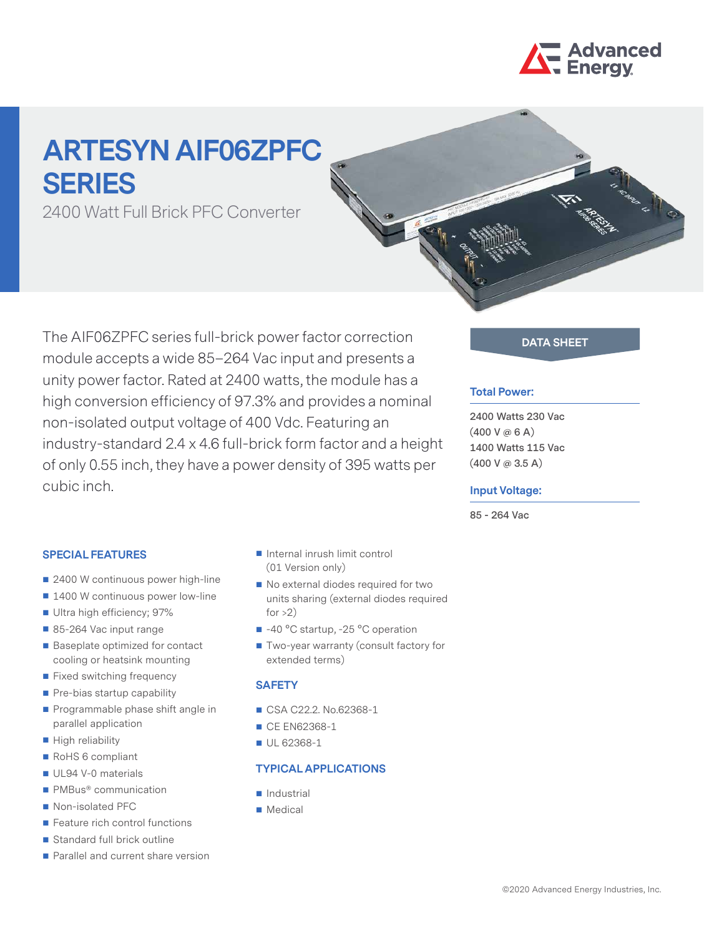

# **ARTESYN AIF06ZPFC SERIES**

2400 Watt Full Brick PFC Converter

The AIF06ZPFC series full-brick power factor correction **DATA SHEET** module accepts a wide 85–264 Vac input and presents a unity power factor. Rated at 2400 watts, the module has a high conversion efficiency of 97.3% and provides a nominal non-isolated output voltage of 400 Vdc. Featuring an industry-standard 2.4 x 4.6 full-brick form factor and a height of only 0.55 inch, they have a power density of 395 watts per cubic inch.

#### **Total Power:**

**2400 Watts 230 Vac (400 V @ 6 A) 1400 Watts 115 Vac (400 V @ 3.5 A)**

#### **Input Voltage:**

**85 - 264 Vac**

### **SPECIAL FEATURES**

- 2400 W continuous power high-line
- 1400 W continuous power low-line
- Ultra high efficiency; 97%
- 85-264 Vac input range
- Baseplate optimized for contact cooling or heatsink mounting
- **Fixed switching frequency**
- $\blacksquare$  Pre-bias startup capability
- **Programmable phase shift angle in** parallel application
- High reliability
- RoHS 6 compliant
- UL94 V-0 materials
- PMBus<sup>®</sup> communication
- Non-isolated PFC
- Feature rich control functions
- Standard full brick outline
- **Parallel and current share version**
- Internal inrush limit control (01 Version only)
- No external diodes required for two units sharing (external diodes required for  $>2$ )
- -40 °C startup, -25 °C operation
- Two-year warranty (consult factory for extended terms)

#### **SAFETY**

- CSA C22.2. No.62368-1
- CE EN62368-1
- UL 62368-1

#### **TYPICAL APPLICATIONS**

- **Industrial**
- **Medical**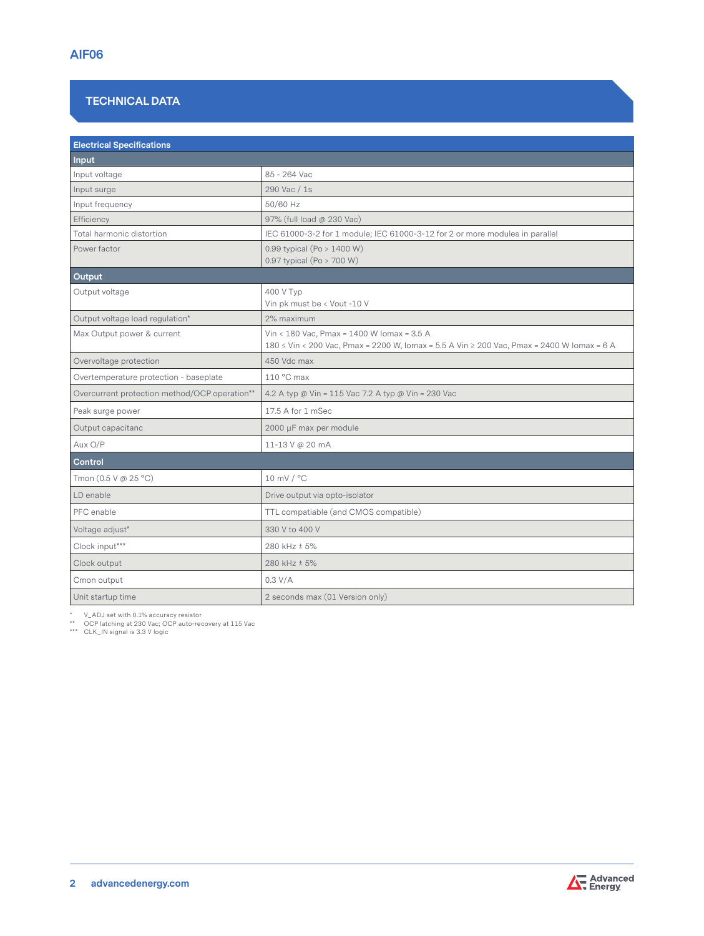# **TECHNICAL DATA**

| <b>Electrical Specifications</b>              |                                                                                                                                          |  |  |  |
|-----------------------------------------------|------------------------------------------------------------------------------------------------------------------------------------------|--|--|--|
| Input                                         |                                                                                                                                          |  |  |  |
| Input voltage                                 | 85 - 264 Vac                                                                                                                             |  |  |  |
| Input surge                                   | 290 Vac / 1s                                                                                                                             |  |  |  |
| Input frequency                               | 50/60 Hz                                                                                                                                 |  |  |  |
| Efficiency                                    | 97% (full load @ 230 Vac)                                                                                                                |  |  |  |
| Total harmonic distortion                     | IEC 61000-3-2 for 1 module; IEC 61000-3-12 for 2 or more modules in parallel                                                             |  |  |  |
| Power factor                                  | 0.99 typical (Po $> 1400$ W)<br>0.97 typical (Po > 700 W)                                                                                |  |  |  |
| Output                                        |                                                                                                                                          |  |  |  |
| Output voltage                                | 400 V Typ<br>Vin pk must be < Vout -10 V                                                                                                 |  |  |  |
| Output voltage load regulation*               | 2% maximum                                                                                                                               |  |  |  |
| Max Output power & current                    | Vin < 180 Vac, Pmax = 1400 W Iomax = 3.5 A<br>180 ≤ Vin < 200 Vac, Pmax = 2200 W, Iomax = 5.5 A Vin ≥ 200 Vac, Pmax = 2400 W Iomax = 6 A |  |  |  |
| Overvoltage protection                        | 450 Vdc max                                                                                                                              |  |  |  |
| Overtemperature protection - baseplate        | 110 °C max                                                                                                                               |  |  |  |
| Overcurrent protection method/OCP operation** | 4.2 A typ @ Vin = 115 Vac 7.2 A typ @ Vin = 230 Vac                                                                                      |  |  |  |
| Peak surge power                              | 17.5 A for 1 mSec                                                                                                                        |  |  |  |
| Output capacitanc                             | 2000 µF max per module                                                                                                                   |  |  |  |
| Aux O/P                                       | 11-13 V @ 20 mA                                                                                                                          |  |  |  |
| Control                                       |                                                                                                                                          |  |  |  |
| Tmon (0.5 V @ 25 °C)                          | 10 mV / °C                                                                                                                               |  |  |  |
| LD enable                                     | Drive output via opto-isolator                                                                                                           |  |  |  |
| PFC enable                                    | TTL compatiable (and CMOS compatible)                                                                                                    |  |  |  |
| Voltage adjust*                               | 330 V to 400 V                                                                                                                           |  |  |  |
| Clock input***                                | 280 kHz ± 5%                                                                                                                             |  |  |  |
| Clock output                                  | 280 kHz ± 5%                                                                                                                             |  |  |  |
| Cmon output                                   | 0.3 V/A                                                                                                                                  |  |  |  |
| Unit startup time                             | 2 seconds max (01 Version only)                                                                                                          |  |  |  |

\* V\_ADJ set with 0.1% accuracy resistor \*\* OCP latching at 230 Vac; OCP auto-recovery at 115 Vac \*\*\* CLK\_IN signal is 3.3 V logic

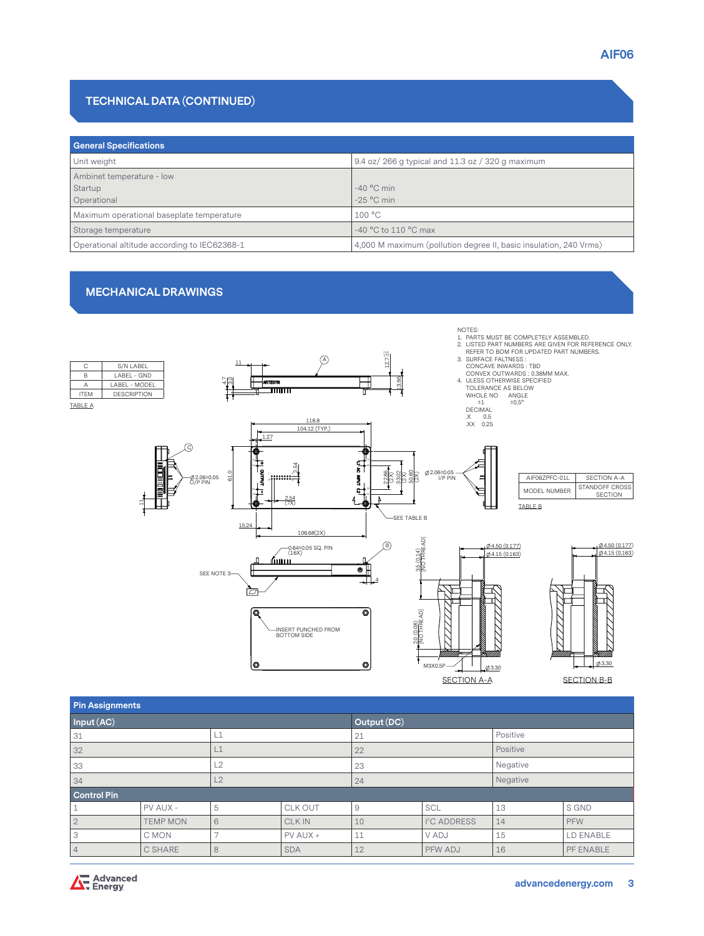## **TECHNICAL DATA (CONTINUED)**

| <b>General Specifications</b>                |                                                                   |  |  |  |  |
|----------------------------------------------|-------------------------------------------------------------------|--|--|--|--|
| Unit weight                                  | 9.4 oz/ 266 g typical and 11.3 oz / 320 g maximum                 |  |  |  |  |
| Ambinet temperature - low                    |                                                                   |  |  |  |  |
| Startup                                      | $-40$ °C min                                                      |  |  |  |  |
| Operational                                  | $-25$ °C min                                                      |  |  |  |  |
| Maximum operational baseplate temperature    | 100 °C                                                            |  |  |  |  |
| Storage temperature                          | $-40$ °C to 110 °C max                                            |  |  |  |  |
| Operational altitude according to IEC62368-1 | 4,000 M maximum (pollution degree II, basic insulation, 240 Vrms) |  |  |  |  |

#### **MECHANICAL DRAWINGS**



| Pin Assignments    |                 |    |               |    |                          |          |           |  |  |
|--------------------|-----------------|----|---------------|----|--------------------------|----------|-----------|--|--|
| Input (AC)         |                 |    | Output (DC)   |    |                          |          |           |  |  |
| 31                 |                 | L1 |               | 21 |                          | Positive |           |  |  |
| 32                 |                 | L1 |               | 22 |                          | Positive |           |  |  |
| 33                 |                 | L2 |               | 23 |                          | Negative |           |  |  |
| 34                 |                 | L2 |               | 24 |                          | Negative |           |  |  |
| <b>Control Pin</b> |                 |    |               |    |                          |          |           |  |  |
|                    | PV AUX -        | 5  | CLK OUT       | 9  | SCL                      | 13       | S GND     |  |  |
| $\overline{2}$     | <b>TEMP MON</b> | 6  | <b>CLK IN</b> | 10 | I <sup>2</sup> C ADDRESS | 14       | PFW       |  |  |
| 3                  | C MON           |    | PV AUX +      | 11 | V ADJ                    | 15       | LD ENABLE |  |  |
| 4                  | C SHARE         | 8  | <b>SDA</b>    | 12 | PFW ADJ                  | 16       | PF ENABLE |  |  |

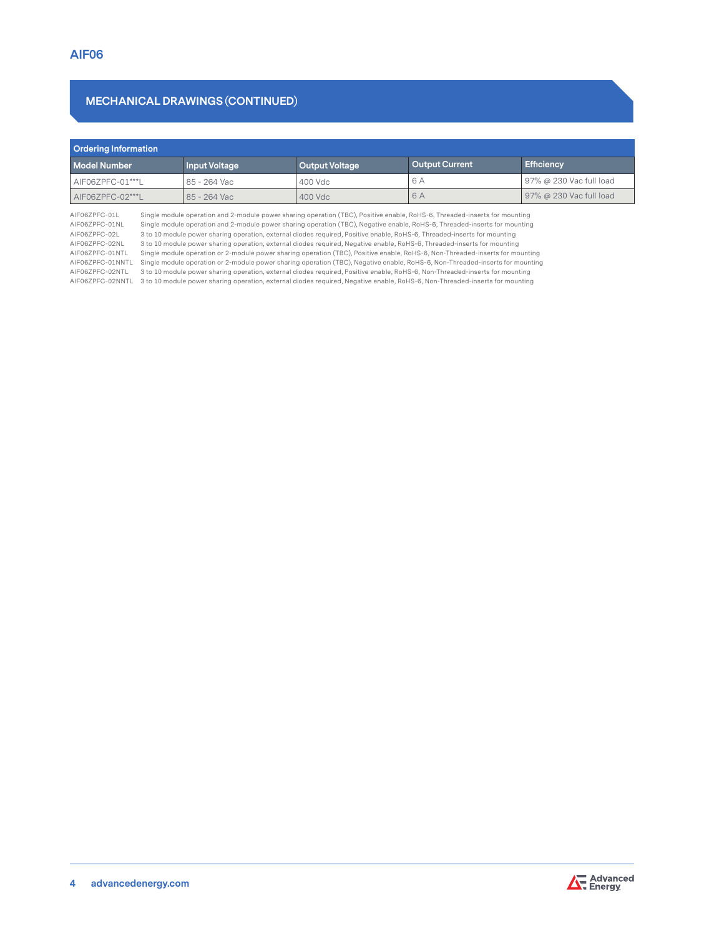# **MECHANICAL DRAWINGS (CONTINUED)**

| <b>Ordering Information</b>                 |         |                       |                         |  |  |  |  |
|---------------------------------------------|---------|-----------------------|-------------------------|--|--|--|--|
| <b>Model Number</b><br><b>Input Voltage</b> |         |                       | <b>Efficiency</b>       |  |  |  |  |
| 85 - 264 Vac                                | 400 Vdc | 6 A                   | 97% @ 230 Vac full load |  |  |  |  |
| 85 - 264 Vac                                | 400 Vdc | 6 A                   | 97% @ 230 Vac full load |  |  |  |  |
|                                             |         | <b>Output Voltage</b> | <b>Output Current</b>   |  |  |  |  |

AIF06ZPFC-01L Single module operation and 2-module power sharing operation (TBC), Positive enable, RoHS-6, Threaded-inserts for mounting<br>AIF06ZPFC-01NL Single module operation and 2-module power sharing operation (TBC), Ne AIF06ZPFC-01NL Single module operation and 2-module power sharing operation (TBC), Negative enable, RoHS-6, Threaded-inserts for mounting<br>AIF06ZPFC-02L 3 to 10 module power sharing operation, external diodes required, Posi AIF06ZPFC-02L 3 to 10 module power sharing operation, external diodes required, Positive enable, RoHS-6, Threaded-inserts for mounting 3 to 10 module power sharing operation, external diodes required, Negative enable, RoHS-6, Threaded-inserts for mounting AIF06ZPFC-01NTL Single module operation or 2-module power sharing operation (TBC), Positive enable, RoHS-6, Non-Threaded-inserts for mounting AIF06ZPFC-01NNTL Single module operation or 2-module power sharing operation (TBC), Negative enable, RoHS-6, Non-Threaded-inserts for mounting AIF06ZPFC-02NTL 3 to 10 module power sharing operation, external diodes required, Positive enable, RoHS-6, Non-Threaded-inserts for mounting AIF06ZPFC-02NNTL 3 to 10 module power sharing operation, external diodes required, Negative enable, RoHS-6, Non-Threaded-inserts for mounting